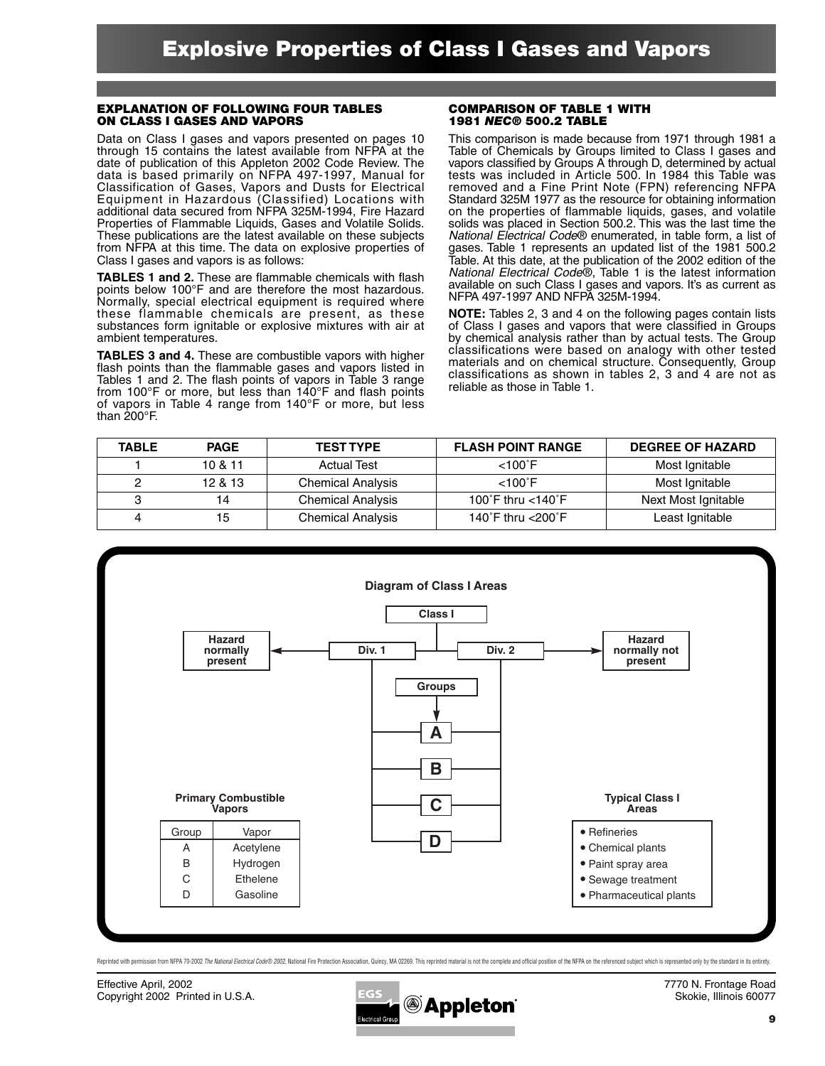#### **EXPLANATION OF FOLLOWING FOUR TABLES ON CLASS I GASES AND VAPORS**

Data on Class I gases and vapors presented on pages 10 through 15 contains the latest available from NFPA at the date of publication of this Appleton 2002 Code Review. The data is based primarily on NFPA 497-1997, Manual for Classification of Gases, Vapors and Dusts for Electrical Equipment in Hazardous (Classified) Locations with additional data secured from NFPA 325M-1994, Fire Hazard Properties of Flammable Liquids, Gases and Volatile Solids. These publications are the latest available on these subjects from NFPA at this time. The data on explosive properties of Class I gases and vapors is as follows:

**TABLES 1 and 2.** These are flammable chemicals with flash points below 100°F and are therefore the most hazardous. Normally, special electrical equipment is required where these flammable chemicals are present, as these substances form ignitable or explosive mixtures with air at ambient temperatures.

**TABLES 3 and 4.** These are combustible vapors with higher flash points than the flammable gases and vapors listed in Tables 1 and 2. The flash points of vapors in Table 3 range from 100°F or more, but less than 140°F and flash points of vapors in Table 4 range from 140°F or more, but less than 200°F.

#### **COMPARISON OF TABLE 1 WITH 1981** *NEC***® 500.2 TABLE**

This comparison is made because from 1971 through 1981 a Table of Chemicals by Groups limited to Class I gases and vapors classified by Groups A through D, determined by actual tests was included in Article 500. In 1984 this Table was removed and a Fine Print Note (FPN) referencing NFPA Standard 325M 1977 as the resource for obtaining information on the properties of flammable liquids, gases, and volatile solids was placed in Section 500.2. This was the last time the *National Electrical Code*® enumerated, in table form, a list of gases. Table 1 represents an updated list of the 1981 500.2 Table. At this date, at the publication of the 2002 edition of the *National Electrical Code*®, Table 1 is the latest information available on such Class I gases and vapors. It's as current as NFPA 497-1997 AND NFPA 325M-1994.

**NOTE:** Tables 2, 3 and 4 on the following pages contain lists of Class I gases and vapors that were classified in Groups by chemical analysis rather than by actual tests. The Group classifications were based on analogy with other tested materials and on chemical structure. Consequently, Group classifications as shown in tables 2, 3 and 4 are not as reliable as those in Table 1.

| <b>TABLE</b> | <b>PAGE</b> | <b>TEST TYPE</b>         | <b>FLASH POINT RANGE</b> | <b>DEGREE OF HAZARD</b> |
|--------------|-------------|--------------------------|--------------------------|-------------------------|
|              | 10 & 11     | <b>Actual Test</b>       | $< 100^{\circ}$ F        | Most Ignitable          |
|              | 12 & 13     | <b>Chemical Analysis</b> | $< 100^{\circ}$ F        | Most Ignitable          |
|              | 14          | <b>Chemical Analysis</b> | 100°F thru $<$ 140°F     | Next Most Ignitable     |
|              | 15          | <b>Chemical Analysis</b> | 140°F thru <200°F        | Least Ignitable         |



Reprinted with permission from NFPA 70-2002 The National Electrical Code® 2002. National Fire Protection Association. Quincy, MA 02269. This reprinted material is not the complete and official position of the NFPA on the r

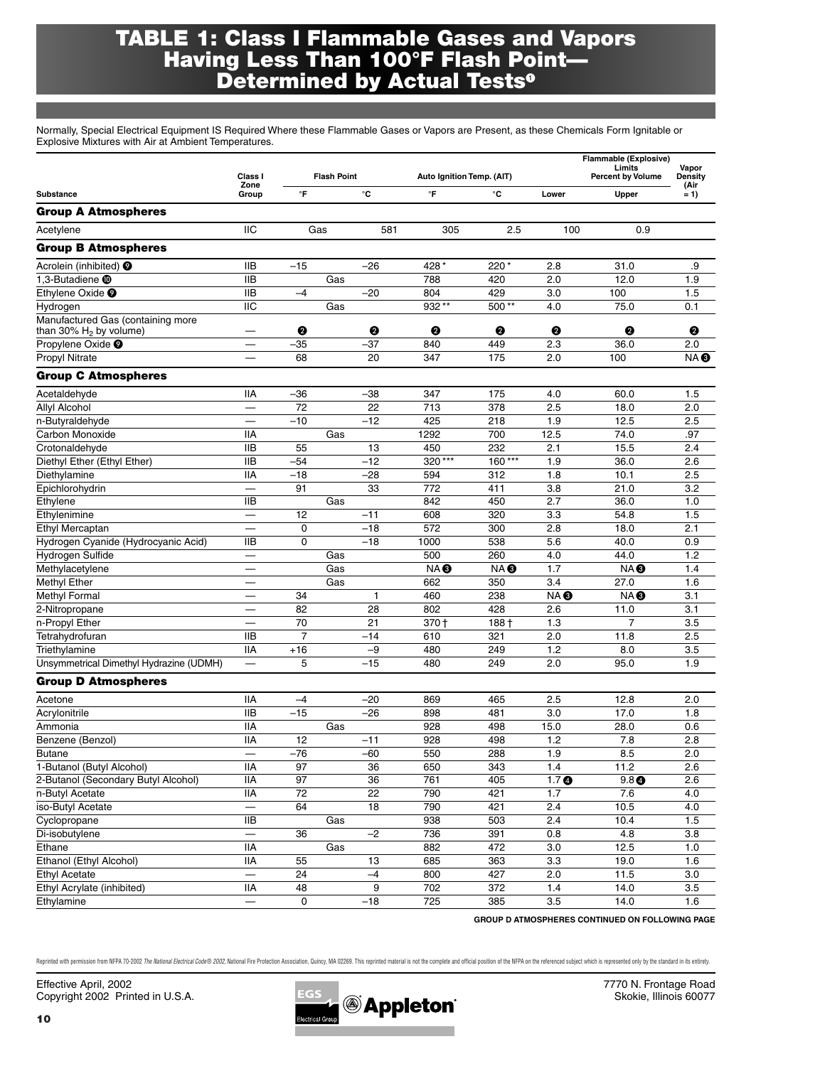### **TABLE 1: Class I Flammable Gases and Vapors Having Less Than 100°F Flash Point— Determined by Actual Tests**

Normally, Special Electrical Equipment IS Required Where these Flammable Gases or Vapors are Present, as these Chemicals Form Ignitable or Explosive Mixtures with Air at Ambient Temperatures.

|                                         |                            |                    |     |                 |                           |                  | Flammable (Explosive) |                                    |                  |  |
|-----------------------------------------|----------------------------|--------------------|-----|-----------------|---------------------------|------------------|-----------------------|------------------------------------|------------------|--|
|                                         | Class I                    | <b>Flash Point</b> |     |                 | Auto Ignition Temp. (AIT) |                  |                       | Limits<br><b>Percent by Volume</b> | Vapor<br>Density |  |
| Substance                               | Zone<br>Group              | $\mathsf{P}$       |     | °C              | °F                        | °C               | Lower                 | Upper                              | (Air<br>$= 1$    |  |
| <b>Group A Atmospheres</b>              |                            |                    |     |                 |                           |                  |                       |                                    |                  |  |
| Acetylene                               | IIC                        |                    | Gas | 581             | 305                       | 2.5              | 100                   | 0.9                                |                  |  |
| <b>Group B Atmospheres</b>              |                            |                    |     |                 |                           |                  |                       |                                    |                  |  |
| Acrolein (inhibited) <sup>O</sup>       | <b>IIB</b>                 | $-15$              |     | $-26$           | 428 *                     | $220*$           | 2.8                   | 31.0                               | .9               |  |
| 1,3-Butadiene <b>@</b>                  | <b>IIB</b>                 |                    | Gas |                 | 788                       | 420              | 2.0                   | 12.0                               | 1.9              |  |
| Ethvlene Oxide <sup>O</sup>             | <b>IIB</b>                 | $-4$               |     | $-20$           | 804                       | 429              | 3.0                   | 100                                | 1.5              |  |
| Hydrogen                                | $\overline{IIC}$           |                    | Gas |                 | 932**                     | 500**            | 4.0                   | 75.0                               | 0.1              |  |
| Manufactured Gas (containing more       |                            |                    |     |                 |                           |                  |                       |                                    |                  |  |
| than 30% $H_2$ by volume)               |                            | ❷                  |     | ❷               | ❷                         | ❷                | Ø                     | Ø                                  | ❷                |  |
| Propylene Oxide <sup>O</sup>            |                            | $-35$              |     | $-37$           | 840                       | 449              | 2.3                   | 36.0                               | 2.0              |  |
| Propyl Nitrate                          |                            | 68                 |     | 20              | 347                       | 175              | 2.0                   | 100                                | NA <sup>®</sup>  |  |
| <b>Group C Atmospheres</b>              |                            |                    |     |                 |                           |                  |                       |                                    |                  |  |
| Acetaldehyde                            | IIА                        | $-36$              |     | $-38$           | 347                       | 175              | 4.0                   | 60.0                               | 1.5              |  |
| <b>Allyl Alcohol</b>                    |                            | $\overline{72}$    |     | $\overline{22}$ | $\overline{713}$          | $\overline{378}$ | 2.5                   | 18.0                               | 2.0              |  |
| n-Butyraldehyde                         | $\overline{\phantom{0}}$   | $-10$              |     | $-12$           | 425                       | 218              | 1.9                   | 12.5                               | 2.5              |  |
| Carbon Monoxide                         | <b>IIA</b>                 |                    | Gas |                 | 1292                      | 700              | 12.5                  | 74.0                               | .97              |  |
| Crotonaldehyde                          | $\overline{IIB}$           | 55                 |     | 13              | 450                       | 232              | 2.1                   | 15.5                               | 2.4              |  |
| Diethyl Ether (Ethyl Ether)             | <b>IIB</b>                 | $-54$              |     | $-12$           | 320***                    | 160***           | 1.9                   | 36.0                               | 2.6              |  |
| Diethylamine                            | <b>IIA</b>                 | $-18$              |     | $-28$           | 594                       | 312              | 1.8                   | 10.1                               | 2.5              |  |
| Epichlorohydrin                         |                            | 91                 |     | 33              | $\overline{772}$          | 411              | 3.8                   | 21.0                               | 3.2              |  |
| Ethylene                                | <b>IIB</b>                 |                    | Gas |                 | 842                       | 450              | 2.7                   | 36.0                               | 1.0              |  |
| Ethylenimine                            |                            | 12                 |     | $-11$           | 608                       | 320              | 3.3                   | 54.8                               | 1.5              |  |
| Ethyl Mercaptan                         |                            | $\mathbf 0$        |     | $-18$           | 572                       | 300              | 2.8                   | 18.0                               | 2.1              |  |
| Hydrogen Cyanide (Hydrocyanic Acid)     | <b>IIB</b>                 | 0                  |     | $-18$           | 1000                      | 538              | 5.6                   | 40.0                               | 0.9              |  |
| Hydrogen Sulfide                        |                            |                    | Gas |                 | 500                       | 260              | 4.0                   | 44.0                               | 1.2              |  |
| Methylacetylene                         |                            |                    | Gas |                 | NA <sup>®</sup>           | NA <sup>®</sup>  | 1.7                   | NA <sup>®</sup>                    | 1.4              |  |
| Methyl Ether                            |                            |                    | Gas |                 | 662                       | 350              | 3.4                   | 27.0                               | 1.6              |  |
| Methyl Formal                           |                            | 34                 |     | $\mathbf{1}$    | 460                       | 238              | NA <sup>®</sup>       | NA <sup>®</sup>                    | 3.1              |  |
| 2-Nitropropane                          | $\overline{\phantom{0}}$   | 82                 |     | 28              | 802                       | 428              | 2.6                   | 11.0                               | 3.1              |  |
| n-Propyl Ether                          |                            | 70                 |     | 21              | 370 +                     | $188 +$          | 1.3                   | $\overline{7}$                     | 3.5              |  |
| Tetrahydrofuran                         | <b>IIB</b>                 | $\overline{7}$     |     | $-14$           | 610                       | 321              | 2.0                   | 11.8                               | 2.5              |  |
| Triethylamine                           | <b>IIA</b>                 | $+16$              |     | $-9$            | 480                       | 249              | 1.2                   | 8.0                                | 3.5              |  |
| Unsymmetrical Dimethyl Hydrazine (UDMH) | $\overline{\phantom{0}}$   | 5                  |     | $-15$           | 480                       | 249              | 2.0                   | 95.0                               | 1.9              |  |
| <b>Group D Atmospheres</b>              |                            |                    |     |                 |                           |                  |                       |                                    |                  |  |
| Acetone                                 | <b>IIA</b>                 | $-4$               |     | $-20$           | 869                       | 465              | 2.5                   | 12.8                               | 2.0              |  |
| Acrylonitrile                           | <b>IIB</b>                 | $-15$              |     | $-26$           | 898                       | 481              | 3.0                   | 17.0                               | 1.8              |  |
| Ammonia                                 | $\overline{IIA}$           |                    | Gas |                 | 928                       | 498              | 15.0                  | 28.0                               | 0.6              |  |
| Benzene (Benzol)                        | <b>IIA</b>                 | 12                 |     | $-11$           | 928                       | 498              | 1.2                   | 7.8                                | 2.8              |  |
| <b>Butane</b>                           | $\overline{\phantom{0}}$   | $-76$              |     | $-60$           | 550                       | 288              | 1.9                   | 8.5                                | 2.0              |  |
| 1-Butanol (Butyl Alcohol)               | $\overline{\mathsf{II}}$ A | $\overline{97}$    |     | 36              | 650                       | 343              | 1.4                   | 11.2                               | 2.6              |  |
| 2-Butanol (Secondary Butyl Alcohol)     | <b>IIA</b>                 | 97                 |     | 36              | 761                       | 405              | 1.7 <sub>0</sub>      | 9.8 <sup>o</sup>                   | 2.6              |  |
| n-Butyl Acetate                         | <b>IIA</b>                 | 72                 |     | 22              | 790                       | 421              | 1.7                   | 7.6                                | 4.0              |  |
| iso-Butyl Acetate                       |                            | 64                 |     | $\overline{18}$ | 790                       | 421              | 2.4                   | 10.5                               | 4.0              |  |
| Cyclopropane                            | $\overline{IIB}$           |                    | Gas |                 | 938                       | 503              | 2.4                   | 10.4                               | 1.5              |  |
| Di-isobutylene                          |                            | 36                 |     | $-2$            | 736                       | 391              | 0.8                   | 4.8                                | 3.8              |  |
| Ethane                                  | $\overline{\mathsf{II}}$ A |                    | Gas |                 | 882                       | 472              | 3.0                   | 12.5                               | 1.0              |  |
| Ethanol (Ethyl Alcohol)                 | <b>IIA</b>                 | 55                 |     | 13              | 685                       | 363              | 3.3                   | 19.0                               | 1.6              |  |
| <b>Ethyl Acetate</b>                    |                            | 24                 |     | $-4$            | 800                       | 427              | 2.0                   | 11.5                               | 3.0              |  |
| Ethyl Acrylate (inhibited)              | <b>IIA</b>                 | 48                 |     | 9               | 702                       | 372              | 1.4                   | 14.0                               | 3.5              |  |
| Ethylamine                              | $\equiv$                   | 0                  |     | $-18$           | 725                       | 385              | 3.5                   | 14.0                               | 1.6              |  |

**GROUP D ATMOSPHERES CONTINUED ON FOLLOWING PAGE**

Reprinted with permission from NFPA 70-2002 The National Electrical Code® 2002, National Fire Protection Association, Quincy, MA 02269. This reprinted material is not the complete and official position of the NFPA on the r

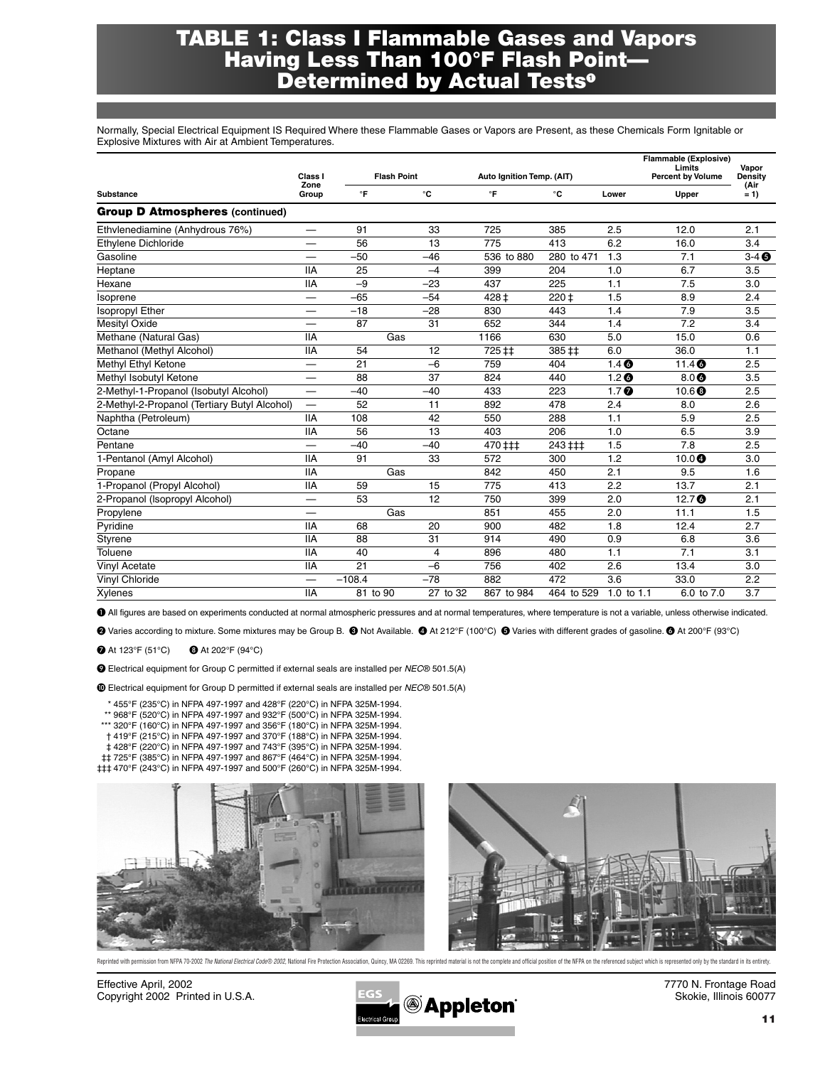### **TABLE 1: Class I Flammable Gases and Vapors Having Less Than 100°F Flash Point— Determined by Actual Tests**

Normally, Special Electrical Equipment IS Required Where these Flammable Gases or Vapors are Present, as these Chemicals Form Ignitable or Explosive Mixtures with Air at Ambient Temperatures.

|                                              | Class I                  | <b>Flash Point</b> |          |            | Auto Ignition Temp. (AIT) |                  | <b>Flammable (Explosive)</b><br>Limits<br><b>Percent by Volume</b> | Vapor<br>Density |
|----------------------------------------------|--------------------------|--------------------|----------|------------|---------------------------|------------------|--------------------------------------------------------------------|------------------|
| <b>Substance</b>                             | Zone<br>Group            | $\mathsf{P}$       | °C       | °F         | °C                        | Lower            | Upper                                                              | (Air<br>$= 1$    |
| <b>Group D Atmospheres (continued)</b>       |                          |                    |          |            |                           |                  |                                                                    |                  |
| Ethvlenediamine (Anhydrous 76%)              |                          | 91                 | 33       | 725        | 385                       | 2.5              | 12.0                                                               | 2.1              |
| Ethylene Dichloride                          |                          | 56                 | 13       | 775        | 413                       | 6.2              | 16.0                                                               | 3.4              |
| Gasoline                                     |                          | $-50$              | $-46$    | 536 to 880 | 280 to 471                | 1.3              | 7.1                                                                | $3-4$ $\odot$    |
| Heptane                                      | <b>IIA</b>               | 25                 | $-4$     | 399        | 204                       | 1.0              | 6.7                                                                | 3.5              |
| Hexane                                       | <b>IIA</b>               | $-9$               | $-23$    | 437        | 225                       | 1.1              | 7.5                                                                | 3.0              |
| Isoprene                                     |                          | $-65$              | $-54$    | 428 ‡      | $220 +$                   | 1.5              | 8.9                                                                | 2.4              |
| <b>Isopropyl Ether</b>                       |                          | $-18$              | $-28$    | 830        | 443                       | 1.4              | 7.9                                                                | 3.5              |
| Mesityl Oxide                                | $\overline{\phantom{0}}$ | 87                 | 31       | 652        | 344                       | 1.4              | 7.2                                                                | 3.4              |
| Methane (Natural Gas)                        | <b>IIA</b>               |                    | Gas      | 1166       | 630                       | 5.0              | 15.0                                                               | 0.6              |
| Methanol (Methyl Alcohol)                    | <b>IIA</b>               | 54                 | 12       | 725 ‡‡     | 385 ‡‡                    | 6.0              | 36.0                                                               | 1.1              |
| Methyl Ethyl Ketone                          |                          | 21                 | $-6$     | 759        | 404                       | 1.4 <sub>o</sub> | 11.40                                                              | 2.5              |
| Methyl Isobutyl Ketone                       |                          | 88                 | 37       | 824        | 440                       | 1.2 <sub>o</sub> | $8.0$ ©                                                            | 3.5              |
| 2-Methyl-1-Propanol (Isobutyl Alcohol)       | $\overline{\phantom{0}}$ | $-40$              | $-40$    | 433        | 223                       | 1.7 <sub>0</sub> | 10.6 <sup>°</sup>                                                  | 2.5              |
| 2-Methyl-2-Propanol (Tertiary Butyl Alcohol) |                          | 52                 | 11       | 892        | 478                       | 2.4              | 8.0                                                                | 2.6              |
| Naphtha (Petroleum)                          | <b>IIA</b>               | 108                | 42       | 550        | 288                       | 1.1              | 5.9                                                                | 2.5              |
| Octane                                       | <b>IIA</b>               | 56                 | 13       | 403        | 206                       | 1.0              | 6.5                                                                | 3.9              |
| Pentane                                      |                          | $-40$              | $-40$    | 470 ##     | 243 ‡‡‡                   | 1.5              | 7.8                                                                | 2.5              |
| 1-Pentanol (Amyl Alcohol)                    | <b>IIA</b>               | 91                 | 33       | 572        | 300                       | 1.2              | $10.0$ $\bullet$                                                   | 3.0              |
| Propane                                      | <b>IIA</b>               |                    | Gas      | 842        | 450                       | 2.1              | 9.5                                                                | 1.6              |
| 1-Propanol (Propyl Alcohol)                  | <b>IIA</b>               | 59                 | 15       | 775        | 413                       | 2.2              | 13.7                                                               | 2.1              |
| 2-Propanol (Isopropyl Alcohol)               |                          | 53                 | 12       | 750        | 399                       | 2.0              | 12.7 $\bullet$                                                     | 2.1              |
| Propylene                                    |                          |                    | Gas      | 851        | 455                       | 2.0              | 11.1                                                               | 1.5              |
| Pyridine                                     | <b>IIA</b>               | 68                 | 20       | 900        | 482                       | 1.8              | 12.4                                                               | 2.7              |
| Styrene                                      | <b>IIA</b>               | 88                 | 31       | 914        | 490                       | 0.9              | 6.8                                                                | 3.6              |
| Toluene                                      | <b>IIA</b>               | 40                 | 4        | 896        | 480                       | 1.1              | 7.1                                                                | 3.1              |
| <b>Vinyl Acetate</b>                         | <b>IIA</b>               | 21                 | $-6$     | 756        | 402                       | 2.6              | 13.4                                                               | 3.0              |
| Vinyl Chloride                               |                          | $-108.4$           | $-78$    | 882        | 472                       | 3.6              | 33.0                                                               | 2.2              |
| Xylenes                                      | <b>IIA</b>               | 81 to 90           | 27 to 32 | 867 to 984 | 464 to 529                | 1.0 to 1.1       | 6.0 to 7.0                                                         | 3.7              |

All figures are based on experiments conducted at normal atmospheric pressures and at normal temperatures, where temperature is not a variable, unless otherwise indicated.

Varies according to mixture. Some mixtures may be Group B. Not Available. At 212°F (100°C) Varies with different grades of gasoline. At 200°F (93°C)

 At 123°F (51°C) **4** At 202°F (94°C)

- Electrical equipment for Group C permitted if external seals are installed per *NEC*® 501.5(A)

Electrical equipment for Group D permitted if external seals are installed per *NEC*® 501.5(A)

\* 455°F (235°C) in NFPA 497-1997 and 428°F (220°C) in NFPA 325M-1994.

- \*\* 968°F (520°C) in NFPA 497-1997 and 932°F (500°C) in NFPA 325M-1994.
- \*\*\* 320°F (160°C) in NFPA 497-1997 and 356°F (180°C) in NFPA 325M-1994.
- † 419°F (215°C) in NFPA 497-1997 and 370°F (188°C) in NFPA 325M-1994. ‡ 428°F (220°C) in NFPA 497-1997 and 743°F (395°C) in NFPA 325M-1994.
- ‡‡ 725°F (385°C) in NFPA 497-1997 and 867°F (464°C) in NFPA 325M-1994.
- ‡‡‡ 470°F (243°C) in NFPA 497-1997 and 500°F (260°C) in NFPA 325M-1994.



Reprinted with permission from NFPA 70-2002 The National Electrical Code® 2002, National Fire Protection Association, Quincy, MA 02269. This reprinted material is not the complete and official position of the NFPA on the r

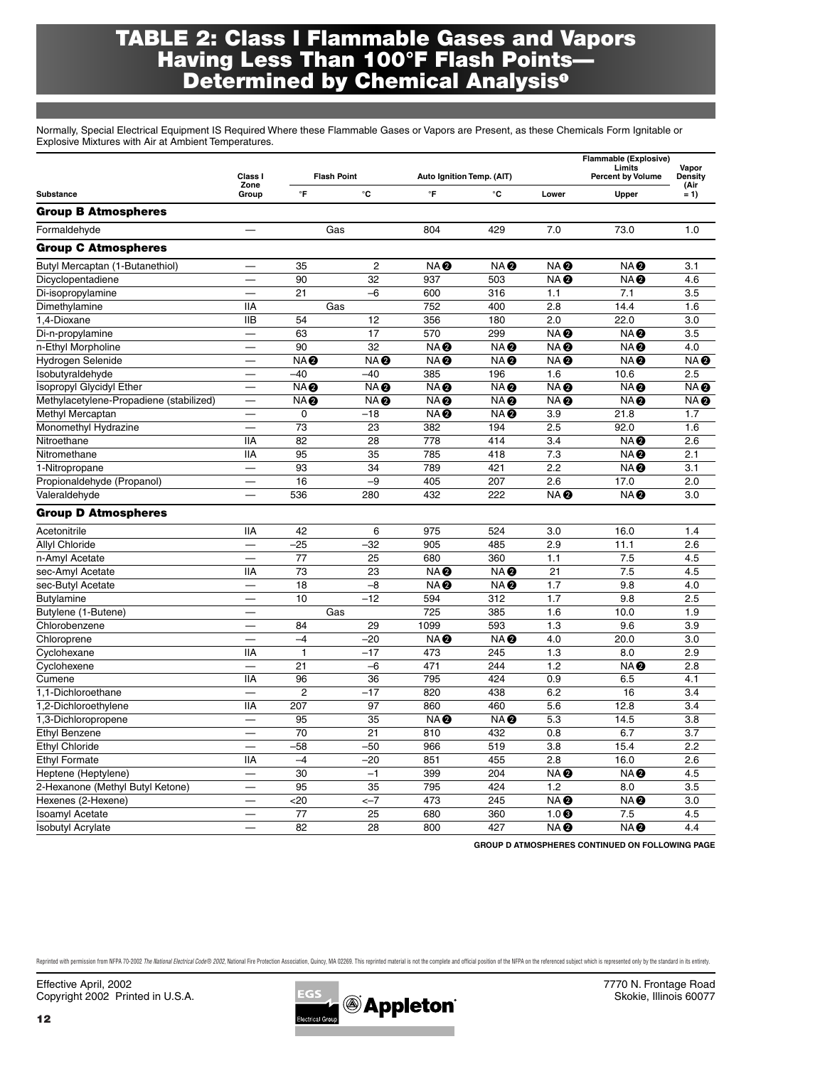## **TABLE 2: Class I Flammable Gases and Vapors Having Less Than 100°F Flash Points— Determined by Chemical Analysis**

Normally, Special Electrical Equipment IS Required Where these Flammable Gases or Vapors are Present, as these Chemicals Form Ignitable or Explosive Mixtures with Air at Ambient Temperatures.

|                                         | Class I                  |                 | <b>Flash Point</b> | Limits<br>Auto Ignition Temp. (AIT) |                 | <b>Flammable (Explosive)</b><br><b>Percent by Volume</b> | Vapor<br><b>Density</b> |                 |
|-----------------------------------------|--------------------------|-----------------|--------------------|-------------------------------------|-----------------|----------------------------------------------------------|-------------------------|-----------------|
|                                         | Zone                     |                 |                    | °F                                  | °C              |                                                          |                         | (Air            |
| Substance                               | Group                    | $\mathsf{P}$    | °C                 |                                     |                 | Lower                                                    | Upper                   | $= 1$           |
| <b>Group B Atmospheres</b>              |                          |                 |                    |                                     |                 |                                                          |                         |                 |
| Formaldehyde                            |                          |                 | Gas                | 804                                 | 429             | 7.0                                                      | 73.0                    | 1.0             |
| <b>Group C Atmospheres</b>              |                          |                 |                    |                                     |                 |                                                          |                         |                 |
| Butyl Mercaptan (1-Butanethiol)         |                          | 35              | $\overline{2}$     | <b>NAO</b>                          | NA <sup>®</sup> | NA <sup>®</sup>                                          | <b>NAO</b>              | 3.1             |
| Dicyclopentadiene                       |                          | 90              | 32                 | 937                                 | 503             | NA <sup>®</sup>                                          | NA <sup>®</sup>         | 4.6             |
| Di-isopropylamine                       |                          | 21              | $-6$               | 600                                 | 316             | 1.1                                                      | 7.1                     | 3.5             |
| Dimethylamine                           | <b>IIA</b>               |                 | Gas                | 752                                 | 400             | 2.8                                                      | 14.4                    | 1.6             |
| 1.4-Dioxane                             | <b>IIB</b>               | 54              | 12                 | 356                                 | 180             | 2.0                                                      | 22.0                    | 3.0             |
| Di-n-propylamine                        |                          | 63              | 17                 | 570                                 | 299             | NA <sup>®</sup>                                          | NA <sup>®</sup>         | 3.5             |
| n-Ethyl Morpholine                      | $\overline{\phantom{0}}$ | 90              | 32                 | NA <sup>®</sup>                     | NA <sup>®</sup> | NA <sup>®</sup>                                          | NA <sup>®</sup>         | 4.0             |
| Hydrogen Selenide                       |                          | <b>NA@</b>      | NA <sup>®</sup>    | NA <sup>®</sup>                     | NA <sup>®</sup> | NA <sup>®</sup>                                          | NA <sup>®</sup>         | NA <sup>O</sup> |
| Isobutyraldehyde                        |                          | $-40$           | $-40$              | 385                                 | 196             | 1.6                                                      | 10.6                    | 2.5             |
| Isopropyl Glycidyl Ether                | $\overline{\phantom{a}}$ | NA <sup>®</sup> | NA <sup>®</sup>    | NA <sup>®</sup>                     | NA <sup>®</sup> | NA <sup>®</sup>                                          | NA <sup>®</sup>         | NA <sup>O</sup> |
| Methylacetylene-Propadiene (stabilized) |                          | <b>NA@</b>      | NA <sup>®</sup>    | NA <sup>®</sup>                     | <b>NAO</b>      | NA <sup>®</sup>                                          | NA <sup>®</sup>         | NA Ø            |
| Methyl Mercaptan                        |                          | $\mathbf 0$     | $-18$              | NA <sup>®</sup>                     | NA <sup>®</sup> | 3.9                                                      | 21.8                    | 1.7             |
| Monomethyl Hydrazine                    | $\overline{\phantom{0}}$ | 73              | 23                 | 382                                 | 194             | 2.5                                                      | 92.0                    | 1.6             |
| Nitroethane                             | <b>IIA</b>               | 82              | 28                 | 778                                 | 414             | 3.4                                                      | <b>NAO</b>              | 2.6             |
| Nitromethane                            | <b>IIA</b>               | 95              | 35                 | 785                                 | 418             | 7.3                                                      | <b>NAO</b>              | 2.1             |
| 1-Nitropropane                          | $\overline{\phantom{0}}$ | 93              | $\overline{34}$    | 789                                 | 421             | $\overline{2.2}$                                         | <b>NA@</b>              | 3.1             |
| Propionaldehyde (Propanol)              |                          | 16              | $-9$               | 405                                 | 207             | 2.6                                                      | 17.0                    | 2.0             |
| Valeraldehyde                           |                          | 536             | 280                | 432                                 | 222             | NA <sup>O</sup>                                          | NA <sup>®</sup>         | 3.0             |
| <b>Group D Atmospheres</b>              |                          |                 |                    |                                     |                 |                                                          |                         |                 |
| Acetonitrile                            | <b>IIA</b>               | 42              | 6                  | 975                                 | 524             | 3.0                                                      | 16.0                    | 1.4             |
| Allyl Chloride                          | $\overline{\phantom{a}}$ | $-25$           | $-32$              | 905                                 | 485             | 2.9                                                      | 11.1                    | 2.6             |
| n-Amyl Acetate                          | $\overline{\phantom{0}}$ | 77              | 25                 | 680                                 | 360             | 1.1                                                      | 7.5                     | 4.5             |
| sec-Amyl Acetate                        | <b>IIA</b>               | 73              | 23                 | NA <sup>®</sup>                     | NA <sup>®</sup> | 21                                                       | 7.5                     | 4.5             |
| sec-Butyl Acetate                       |                          | 18              | $-8$               | NA <sup>®</sup>                     | NA <sup>®</sup> | 1.7                                                      | 9.8                     | 4.0             |
| <b>Butylamine</b>                       | $\overline{\phantom{0}}$ | 10              | $-12$              | 594                                 | 312             | 1.7                                                      | 9.8                     | 2.5             |
| Butylene (1-Butene)                     | $\overline{\phantom{0}}$ |                 | Gas                | 725                                 | 385             | 1.6                                                      | 10.0                    | 1.9             |
| Chlorobenzene                           |                          | 84              | 29                 | 1099                                | 593             | 1.3                                                      | 9.6                     | 3.9             |
| Chloroprene                             |                          | $-4$            | $-20$              | NA <sup>O</sup>                     | NA <sup>®</sup> | 4.0                                                      | 20.0                    | 3.0             |
| Cyclohexane                             | <b>IIA</b>               | $\mathbf{1}$    | $-17$              | 473                                 | 245             | 1.3                                                      | 8.0                     | 2.9             |
| Cyclohexene                             | $\frac{1}{1}$            | 21              | $-6$               | 471                                 | 244             | 1.2                                                      | NA <sup>®</sup>         | 2.8             |
| Cumene                                  | <b>IIA</b>               | 96              | 36                 | 795                                 | 424             | 0.9                                                      | 6.5                     | 4.1             |
| 1,1-Dichloroethane                      |                          | $\overline{2}$  | $-17$              | 820                                 | 438             | 6.2                                                      | 16                      | 3.4             |
| 1,2-Dichloroethylene                    | <b>IIA</b>               | 207             | 97                 | 860                                 | 460             | 5.6                                                      | 12.8                    | 3.4             |
| 1,3-Dichloropropene                     | $\overline{\phantom{0}}$ | 95              | 35                 | NA <sup>®</sup>                     | NA <sup>®</sup> | 5.3                                                      | 14.5                    | 3.8             |
| Ethyl Benzene                           |                          | 70              | 21                 | 810                                 | 432             | 0.8                                                      | 6.7                     | 3.7             |
| Ethyl Chloride                          | $\overline{\phantom{0}}$ | $-58$           | $-50$              | 966                                 | 519             | 3.8                                                      | 15.4                    | 2.2             |
| <b>Ethyl Formate</b>                    | <b>IIA</b>               | $-4$            | $-20$              | 851                                 | 455             | 2.8                                                      | 16.0                    | 2.6             |
| Heptene (Heptylene)                     |                          | 30              | $-1$               | 399                                 | 204             | NA <sup>®</sup>                                          | NA <sup>®</sup>         | 4.5             |
| 2-Hexanone (Methyl Butyl Ketone)        |                          | 95              | 35                 | 795                                 | 424             | 1.2                                                      | 8.0                     | 3.5             |
| Hexenes (2-Hexene)                      | $\overline{\phantom{0}}$ | $20$            | $<-7$              | 473                                 | 245             | NA <sup>®</sup>                                          | NA <sup>®</sup>         | 3.0             |
| <b>Isoamyl Acetate</b>                  |                          | 77              | 25                 | 680                                 | 360             | $1.0$ <sup>®</sup>                                       | 7.5                     | 4.5             |
| <b>Isobutyl Acrylate</b>                |                          | 82              | 28                 | 800                                 | 427             | ÑA Ø                                                     | NA <sup>®</sup>         | 4.4             |

**GROUP D ATMOSPHERES CONTINUED ON FOLLOWING PAGE**

Reprinted with permission from NFPA 70-2002 The National Electrical Code® 2002, National Fire Protection Association, Quincy, MA 02269. This reprinted material is ont the complete and official position of the NFPA on the r

Effective April, 2002 7770 N. Frontage Road<br>Copyright 2002 Printed in U.S.A. EGS EGS Copyright 2002 Printed in U.S.A. EGS COPY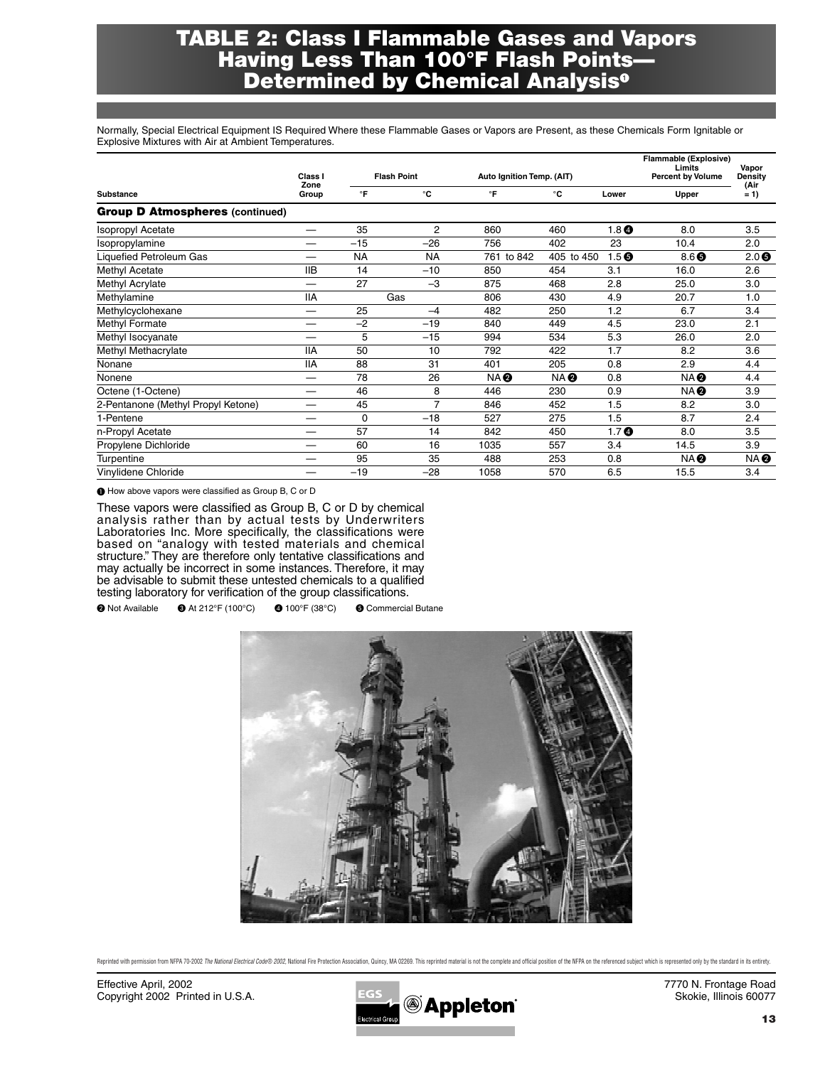## **TABLE 2: Class I Flammable Gases and Vapors Having Less Than 100°F Flash Points— Determined by Chemical Analysis**

Normally, Special Electrical Equipment IS Required Where these Flammable Gases or Vapors are Present, as these Chemicals Form Ignitable or Explosive Mixtures with Air at Ambient Temperatures.

|                                        | Class I<br>Zone                |              | <b>Flash Point</b> | Auto Ignition Temp. (AIT) |                 |                  | Flammable (Explosive)<br>Limits<br><b>Percent by Volume</b> | Vapor<br>Density |  |
|----------------------------------------|--------------------------------|--------------|--------------------|---------------------------|-----------------|------------------|-------------------------------------------------------------|------------------|--|
| Substance                              | Group                          | $\mathsf{P}$ | °C                 | °F                        | °C              | Lower            | Upper                                                       | (Air<br>$= 1$    |  |
| <b>Group D Atmospheres (continued)</b> |                                |              |                    |                           |                 |                  |                                                             |                  |  |
| <b>Isopropyl Acetate</b>               | $\overline{\phantom{0}}$       | 35           | 2                  | 860                       | 460             | 1.8 <sub>0</sub> | 8.0                                                         | 3.5              |  |
| Isopropylamine                         |                                | $-15$        | $-26$              | 756                       | 402             | 23               | 10.4                                                        | 2.0              |  |
| <b>Liquefied Petroleum Gas</b>         |                                | <b>NA</b>    | <b>NA</b>          | 761 to 842                | 405 to 450      | 1.5 <sub>0</sub> | $8.6$ $\odot$                                               | $2.0$ $\odot$    |  |
| Methyl Acetate                         | <b>IIB</b>                     | 14           | $-10$              | 850                       | 454             | 3.1              | 16.0                                                        | 2.6              |  |
| Methyl Acrylate                        |                                | 27           | $-3$               | 875                       | 468             | 2.8              | 25.0                                                        | 3.0              |  |
| Methylamine                            | <b>IIA</b>                     |              | Gas                | 806                       | 430             | 4.9              | 20.7                                                        | 1.0              |  |
| Methylcyclohexane                      |                                | 25           | $-4$               | 482                       | 250             | 1.2              | 6.7                                                         | 3.4              |  |
| Methyl Formate                         |                                | $-2$         | $-19$              | 840                       | 449             | 4.5              | 23.0                                                        | 2.1              |  |
| Methyl Isocyanate                      |                                | 5            | $-15$              | 994                       | 534             | 5.3              | 26.0                                                        | 2.0              |  |
| Methyl Methacrylate                    | <b>IIA</b>                     | 50           | 10                 | 792                       | 422             | 1.7              | 8.2                                                         | 3.6              |  |
| Nonane                                 | <b>IIA</b>                     | 88           | 31                 | 401                       | 205             | 0.8              | 2.9                                                         | 4.4              |  |
| Nonene                                 | $\overline{\phantom{0}}$       | 78           | 26                 | NA <sup>O</sup>           | NA <sup>O</sup> | 0.8              | NA <b>Ø</b>                                                 | 4.4              |  |
| Octene (1-Octene)                      |                                | 46           | 8                  | 446                       | 230             | 0.9              | <b>NAO</b>                                                  | 3.9              |  |
| 2-Pentanone (Methyl Propyl Ketone)     | $\overbrace{\phantom{123321}}$ | 45           | 7                  | 846                       | 452             | 1.5              | 8.2                                                         | 3.0              |  |
| 1-Pentene                              |                                | 0            | $-18$              | 527                       | 275             | 1.5              | 8.7                                                         | 2.4              |  |
| n-Propyl Acetate                       |                                | 57           | 14                 | 842                       | 450             | 1.7 <sub>0</sub> | 8.0                                                         | 3.5              |  |
| Propylene Dichloride                   |                                | 60           | 16                 | 1035                      | 557             | 3.4              | 14.5                                                        | 3.9              |  |
| Turpentine                             |                                | 95           | 35                 | 488                       | 253             | 0.8              | NA <b>Ø</b>                                                 | NA Ø             |  |
| Vinylidene Chloride                    |                                | $-19$        | $-28$              | 1058                      | 570             | 6.5              | 15.5                                                        | 3.4              |  |

 $\bullet$  How above vapors were classified as Group B, C or D

These vapors were classified as Group B, C or D by chemical analysis rather than by actual tests by Underwriters Laboratories Inc. More specifically, the classifications were based on "analogy with tested materials and chemical structure." They are therefore only tentative classifications and may actually be incorrect in some instances. Therefore, it may be advisable to submit these untested chemicals to a qualified testing laboratory for verification of the group classifications.

Not Available At 212°F (100°C) 100°F (38°C) Commercial Butane



Reprinted with permission from NFPA 70-2002 The National Electrical Code® 2002. National Fire Protection Association. Quincy, MA 02269, This reprinted material is not the complete and official position of the NFPA on the r

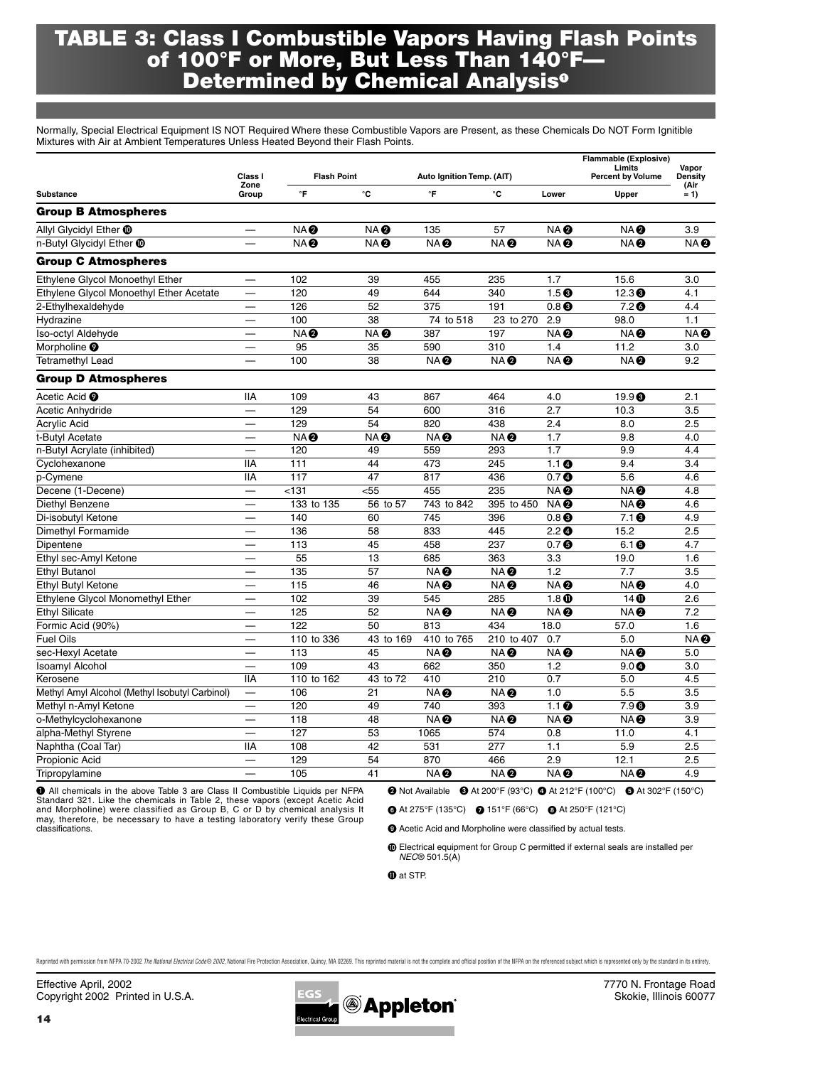## **TABLE 3: Class I Combustible Vapors Having Flash Points of 100°F or More, But Less Than 140°F— Determined by Chemical Analysis**

Normally, Special Electrical Equipment IS NOT Required Where these Combustible Vapors are Present, as these Chemicals Do NOT Form Ignitible Mixtures with Air at Ambient Temperatures Unless Heated Beyond their Flash Points.

|                                                | Class I                  | <b>Flash Point</b> |                 | Auto Ignition Temp. (AIT) |                 |                            | <b>Flammable (Explosive)</b><br>Limits<br><b>Percent by Volume</b> | Vapor<br>Density |
|------------------------------------------------|--------------------------|--------------------|-----------------|---------------------------|-----------------|----------------------------|--------------------------------------------------------------------|------------------|
| Substance                                      | Zone<br>Group            | $\mathsf{P}$       | °C              | °F                        | °C              | Lower                      | Upper                                                              | (Air<br>$= 1$    |
| <b>Group B Atmospheres</b>                     |                          |                    |                 |                           |                 |                            |                                                                    |                  |
| Allyl Glycidyl Ether <b>@</b>                  |                          | <b>NA@</b>         | NA <sup>®</sup> | 135                       | 57              | NA <sup>®</sup>            | NA <sup>®</sup>                                                    | 3.9              |
| n-Butyl Glycidyl Ether <b>10</b>               |                          | <b>NA@</b>         | NA <sup>®</sup> | <b>NA</b>                 | <b>NA@</b>      | NA <sup>®</sup>            | NA <sup>®</sup>                                                    | <b>NAO</b>       |
| <b>Group C Atmospheres</b>                     |                          |                    |                 |                           |                 |                            |                                                                    |                  |
| Ethylene Glycol Monoethyl Ether                |                          | 102                | 39              | 455                       | 235             | 1.7                        | 15.6                                                               | 3.0              |
| Ethylene Glycol Monoethyl Ether Acetate        |                          | 120                | 49              | 644                       | 340             | 1.5 <sup>6</sup>           | 12.3 <sup>6</sup>                                                  | 4.1              |
| 2-Ethylhexaldehyde                             |                          | 126                | 52              | 375                       | 191             | $0.8$ <sup>8</sup>         | 7.2 <sub>o</sub>                                                   | 4.4              |
| Hydrazine                                      |                          | 100                | 38              | 74 to 518                 | 23 to 270       | 2.9                        | 98.0                                                               | 1.1              |
| Iso-octyl Aldehyde                             |                          | <b>NA@</b>         | NA <sup>®</sup> | 387                       | 197             | NA <b>Q</b>                | NA <sup>®</sup>                                                    | NA <sup>O</sup>  |
| Morpholine <sup>O</sup>                        |                          | 95                 | 35              | 590                       | 310             | 1.4                        | 11.2                                                               | 3.0              |
| <b>Tetramethyl Lead</b>                        |                          | 100                | 38              | NA <sup>O</sup>           | NA <sup>O</sup> | NA <sup>®</sup>            | NA <sup>®</sup>                                                    | 9.2              |
| <b>Group D Atmospheres</b>                     |                          |                    |                 |                           |                 |                            |                                                                    |                  |
| Acetic Acid <sup>O</sup>                       | <b>IIA</b>               | 109                | 43              | 867                       | 464             | 4.0                        | 19.9 <sup>°</sup>                                                  | 2.1              |
| Acetic Anhydride                               |                          | 129                | 54              | 600                       | 316             | 2.7                        | 10.3                                                               | 3.5              |
| <b>Acrylic Acid</b>                            |                          | 129                | 54              | 820                       | 438             | 2.4                        | 8.0                                                                | 2.5              |
| t-Butyl Acetate                                |                          | <b>NA@</b>         | NA <sup>®</sup> | NA <sup>®</sup>           | NA <sup>®</sup> | 1.7                        | 9.8                                                                | 4.0              |
| n-Butyl Acrylate (inhibited)                   |                          | 120                | 49              | 559                       | 293             | 1.7                        | 9.9                                                                | 4.4              |
| Cyclohexanone                                  | <b>IIA</b>               | 111                | 44              | 473                       | 245             | 1.1 <sub>0</sub>           | 9.4                                                                | 3.4              |
| p-Cymene                                       | <b>IIA</b>               | 117                | 47              | 817                       | 436             | 0.7 <sub>0</sub>           | 5.6                                                                | 4.6              |
| Decene (1-Decene)                              |                          | $131$              | $55$            | 455                       | 235             | NA <sup>®</sup>            | NA <sup>®</sup>                                                    | 4.8              |
| Diethyl Benzene                                | $\overline{\phantom{0}}$ | 133 to 135         | 56 to 57        | 743 to 842                | 395 to 450      | NA <sup>®</sup>            | NA <sup>®</sup>                                                    | 4.6              |
| Di-isobutyl Ketone                             |                          | 140                | 60              | 745                       | 396             | $0.8$ $\odot$              | $7.1$ <sup>8</sup>                                                 | 4.9              |
| Dimethyl Formamide                             |                          | 136                | 58              | 833                       | 445             | 2.2 $\bm{0}$               | 15.2                                                               | 2.5              |
| Dipentene                                      |                          | 113                | 45              | 458                       | 237             | 0.7 <sub>6</sub>           | $6.1$ $\odot$                                                      | 4.7              |
| Ethyl sec-Amyl Ketone                          |                          | 55                 | 13              | 685                       | 363             | 3.3                        | 19.0                                                               | 1.6              |
| Ethyl Butanol                                  | $\overline{\phantom{0}}$ | 135                | 57              | NA <sup>®</sup>           | NA <sup>®</sup> | 1.2                        | 7.7                                                                | 3.5              |
| Ethyl Butyl Ketone                             |                          | 115                | 46              | NA <sup>®</sup>           | NA <sup>®</sup> | NA <sup>®</sup>            | NA <sup>®</sup>                                                    | 4.0              |
| Ethylene Glycol Monomethyl Ether               | $\overline{\phantom{0}}$ | 102                | 39              | 545                       | 285             | $\overline{1.8}$ $\bullet$ | $14$ $\oplus$                                                      | 2.6              |
| <b>Ethvl Silicate</b>                          | $\overline{\phantom{m}}$ | 125                | 52              | NA <sup>®</sup>           | NA <sup>®</sup> | NA <sup>®</sup>            | NA <sup>®</sup>                                                    | 7.2              |
| Formic Acid (90%)                              |                          | 122                | 50              | 813                       | 434             | 18.0                       | 57.0                                                               | 1.6              |
| <b>Fuel Oils</b>                               |                          | 110 to 336         | 43 to 169       | 410 to 765                | 210 to 407      | 0.7                        | 5.0                                                                | NA <sup>®</sup>  |
| sec-Hexyl Acetate                              |                          | 113                | 45              | NA <sup>®</sup>           | NA <sup>®</sup> | NA <sup>®</sup>            | NA <sup>O</sup>                                                    | 5.0              |
| <b>Isoamyl Alcohol</b>                         |                          | 109                | 43              | 662                       | 350             | 1.2                        | 9.0 <sub>Q</sub>                                                   | 3.0              |
| Kerosene                                       | <b>IIA</b>               | 110 to 162         | 43 to 72        | 410                       | 210             | 0.7                        | 5.0                                                                | 4.5              |
| Methyl Amyl Alcohol (Methyl Isobutyl Carbinol) |                          | 106                | 21              | NA <sup>®</sup>           | NA <sup>®</sup> | 1.0                        | 5.5                                                                | 3.5              |
| Methyl n-Amyl Ketone                           |                          | 120                | 49              | 740                       | 393             | $1.1\Omega$                | $7.9$ <sup><math>\odot</math></sup>                                | 3.9              |
| o-Methylcyclohexanone                          |                          | 118                | 48              | NA <sup>®</sup>           | NA <sup>®</sup> | NA <sup>O</sup>            | NA <sup>O</sup>                                                    | 3.9              |
| alpha-Methyl Styrene                           |                          | 127                | 53              | 1065                      | 574             | 0.8                        | 11.0                                                               | 4.1              |
| Naphtha (Coal Tar)                             | <b>IIA</b>               | 108                | 42              | 531                       | 277             | 1.1                        | 5.9                                                                | 2.5              |
| Propionic Acid                                 |                          | 129                | 54              | 870                       | 466             | 2.9                        | 12.1                                                               | 2.5              |
| Tripropylamine                                 | $\overline{\phantom{0}}$ | 105                | 41              | NA <sup>®</sup>           | NA <sup>®</sup> | NA <sup>®</sup>            | NA <sup>®</sup>                                                    | 4.9              |

 All chemicals in the above Table 3 are Class II Combustible Liquids per NFPA Standard 321. Like the chemicals in Table 2, these vapors (except Acetic Acid and Morpholine) were classified as Group B, C or D by chemical analysis It may, therefore, be necessary to have a testing laboratory verify these Group classifications.

<sup>2</sup> Not Available <sup>3</sup> At 200°F (93°C) <sup>3</sup> At 212°F (100°C) <sup>5</sup> At 302°F (150°C)

At 275°F (135°C) 151°F (66°C) At 250°F (121°C)

 $\bullet$  Acetic Acid and Morpholine were classified by actual tests.

Electrical equipment for Group C permitted if external seals are installed per *NEC*® 501.5(A)

 $\bullet$  at STP.

Reprinted with permission from NFPA 70-2002 The National Electrical Code® 2002. National Fire Protection Association. Quincy, MA 02269, This reprinted material is not the complete and official position of the NFPA on the r

Effective April, 2002<br>
Copyright 2002 Printed in U.S.A. Example 2003 Copyright 2002 Printed in U.S.A. Copyright 2002 Printed in U.S.A